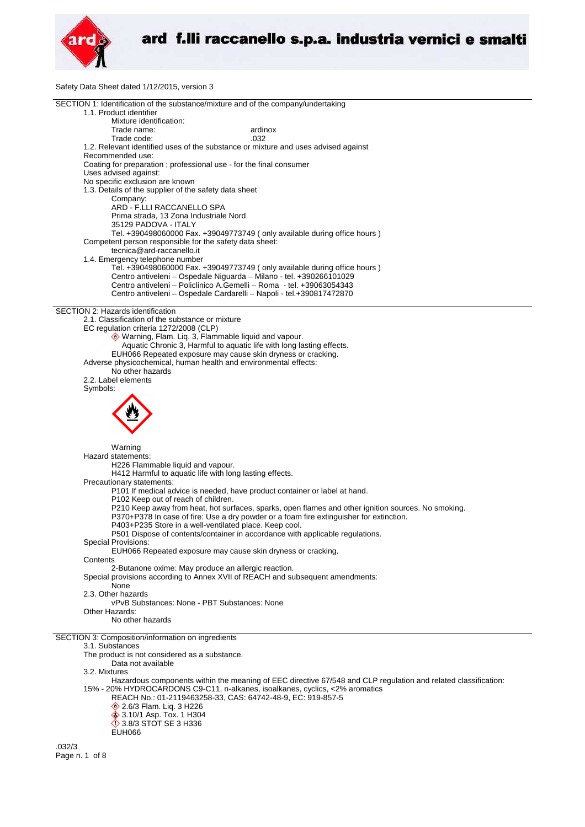

Safety Data Sheet dated 1/12/2015, version 3

| SECTION 1: Identification of the substance/mixture and of the company/undertaking                                                                 |  |
|---------------------------------------------------------------------------------------------------------------------------------------------------|--|
| 1.1. Product identifier                                                                                                                           |  |
| Mixture identification:                                                                                                                           |  |
| Trade name:<br>ardinox                                                                                                                            |  |
| Trade code:<br>.032<br>1.2. Relevant identified uses of the substance or mixture and uses advised against                                         |  |
| Recommended use:                                                                                                                                  |  |
| Coating for preparation; professional use - for the final consumer                                                                                |  |
| Uses advised against:                                                                                                                             |  |
| No specific exclusion are known                                                                                                                   |  |
| 1.3. Details of the supplier of the safety data sheet                                                                                             |  |
| Company:                                                                                                                                          |  |
| ARD - F.LLI RACCANELLO SPA                                                                                                                        |  |
| Prima strada, 13 Zona Industriale Nord                                                                                                            |  |
| 35129 PADOVA - ITALY                                                                                                                              |  |
| Tel. +390498060000 Fax. +39049773749 (only available during office hours)                                                                         |  |
| Competent person responsible for the safety data sheet:                                                                                           |  |
| tecnica@ard-raccanello.it                                                                                                                         |  |
| 1.4. Emergency telephone number<br>Tel. +390498060000 Fax. +39049773749 (only available during office hours)                                      |  |
| Centro antiveleni - Ospedale Niguarda - Milano - tel. +390266101029                                                                               |  |
| Centro antiveleni - Policlinico A.Gemelli - Roma - tel. +39063054343                                                                              |  |
| Centro antiveleni - Ospedale Cardarelli - Napoli - tel.+390817472870                                                                              |  |
|                                                                                                                                                   |  |
| SECTION 2: Hazards identification                                                                                                                 |  |
| 2.1. Classification of the substance or mixture                                                                                                   |  |
| EC regulation criteria 1272/2008 (CLP)                                                                                                            |  |
| Warning, Flam. Liq. 3, Flammable liquid and vapour.                                                                                               |  |
| Aquatic Chronic 3, Harmful to aquatic life with long lasting effects.                                                                             |  |
| EUH066 Repeated exposure may cause skin dryness or cracking.                                                                                      |  |
| Adverse physicochemical, human health and environmental effects:<br>No other hazards                                                              |  |
| 2.2. Label elements                                                                                                                               |  |
| Symbols:                                                                                                                                          |  |
|                                                                                                                                                   |  |
|                                                                                                                                                   |  |
|                                                                                                                                                   |  |
|                                                                                                                                                   |  |
|                                                                                                                                                   |  |
|                                                                                                                                                   |  |
|                                                                                                                                                   |  |
| Warning                                                                                                                                           |  |
| Hazard statements:                                                                                                                                |  |
| H226 Flammable liquid and vapour.                                                                                                                 |  |
| H412 Harmful to aquatic life with long lasting effects.                                                                                           |  |
| Precautionary statements:                                                                                                                         |  |
| P101 If medical advice is needed, have product container or label at hand.                                                                        |  |
| P102 Keep out of reach of children.                                                                                                               |  |
| P210 Keep away from heat, hot surfaces, sparks, open flames and other ignition sources. No smoking.                                               |  |
| P370+P378 In case of fire: Use a dry powder or a foam fire extinguisher for extinction.<br>P403+P235 Store in a well-ventilated place. Keep cool. |  |
| P501 Dispose of contents/container in accordance with applicable regulations.                                                                     |  |
| <b>Special Provisions:</b>                                                                                                                        |  |
| EUH066 Repeated exposure may cause skin dryness or cracking.                                                                                      |  |
| Contents                                                                                                                                          |  |
| 2-Butanone oxime: May produce an allergic reaction.                                                                                               |  |
| Special provisions according to Annex XVII of REACH and subsequent amendments:                                                                    |  |
| None                                                                                                                                              |  |
| 2.3. Other hazards                                                                                                                                |  |
| vPvB Substances: None - PBT Substances: None                                                                                                      |  |
| Other Hazards:<br>No other hazards                                                                                                                |  |
|                                                                                                                                                   |  |
| SECTION 3: Composition/information on ingredients                                                                                                 |  |
| 3.1. Substances                                                                                                                                   |  |
| The product is not considered as a substance.                                                                                                     |  |
| Data not available                                                                                                                                |  |
| 3.2. Mixtures                                                                                                                                     |  |
| Hazardous components within the meaning of EEC directive 67/548 and CLP regulation and related classification:                                    |  |
| 15% - 20% HYDROCARDONS C9-C11, n-alkanes, isoalkanes, cyclics, <2% aromatics                                                                      |  |
| REACH No.: 01-2119463258-33, CAS: 64742-48-9, EC: 919-857-5                                                                                       |  |
| <b>♦ 2.6/3 Flam. Lig. 3 H226</b>                                                                                                                  |  |
| <b>♦ 3.10/1 Asp. Tox. 1 H304</b><br>$\Diamond$ 3.8/3 STOT SE 3 H336                                                                               |  |
| <b>EUH066</b>                                                                                                                                     |  |
| .032/3                                                                                                                                            |  |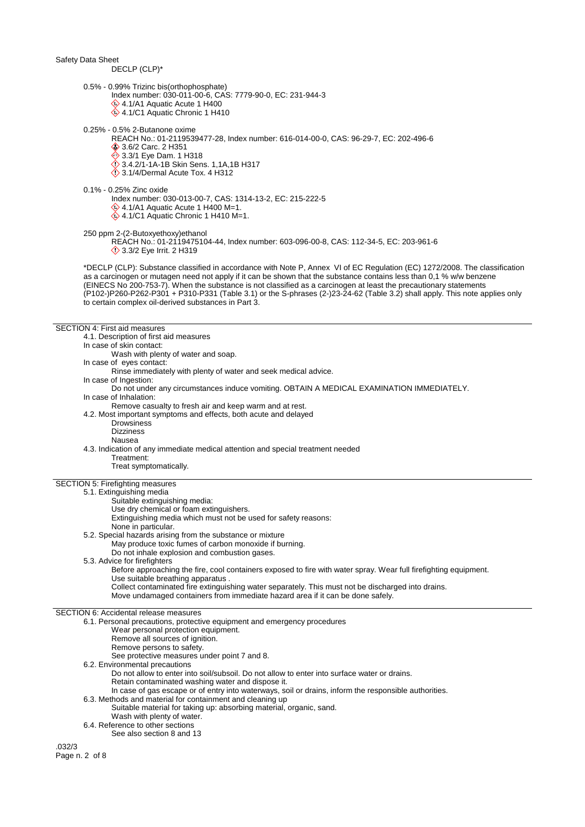DECLP (CLP)\*

- 0.5% 0.99% Trizinc bis(orthophosphate)
	- Index number: 030-011-00-6, CAS: 7779-90-0, EC: 231-944-3 4.1/A1 Aquatic Acute 1 H400
		- 4.1/C1 Aquatic Chronic 1 H410
- 0.25% 0.5% 2-Butanone oxime
	- REACH No.: 01-2119539477-28, Index number: 616-014-00-0, CAS: 96-29-7, EC: 202-496-6
	- 3.6/2 Carc. 2 H351
	- 3.3/1 Eye Dam. 1 H318
	- 3.4.2/1-1A-1B Skin Sens. 1,1A,1B H317
	- $\ddot{\diamond}$  3.1/4/Dermal Acute Tox. 4 H312
- 0.1% 0.25% Zinc oxide
	- Index number: 030-013-00-7, CAS: 1314-13-2, EC: 215-222-5
	- 4.1/A1 Aquatic Acute 1 H400 M=1. 4.1/C1 Aquatic Chronic 1 H410 M=1.

250 ppm 2-(2-Butoxyethoxy)ethanol

REACH No.: 01-2119475104-44, Index number: 603-096-00-8, CAS: 112-34-5, EC: 203-961-6 **12 Bye Irrit. 2 H319** 

\*DECLP (CLP): Substance classified in accordance with Note P, Annex VI of EC Regulation (EC) 1272/2008. The classification as a carcinogen or mutagen need not apply if it can be shown that the substance contains less than 0,1 % w/w benzene (EINECS No 200-753-7). When the substance is not classified as a carcinogen at least the precautionary statements (P102-)P260-P262-P301 + P310-P331 (Table 3.1) or the S-phrases (2-)23-24-62 (Table 3.2) shall apply. This note applies only to certain complex oil-derived substances in Part 3.

### SECTION 4: First aid measures

| SECTION 4. FIISLAIU IIIEASUIES                             |                                                                                                                  |  |
|------------------------------------------------------------|------------------------------------------------------------------------------------------------------------------|--|
| 4.1. Description of first aid measures                     |                                                                                                                  |  |
| In case of skin contact:                                   |                                                                                                                  |  |
| Wash with plenty of water and soap.                        |                                                                                                                  |  |
| In case of eyes contact:                                   |                                                                                                                  |  |
|                                                            |                                                                                                                  |  |
|                                                            | Rinse immediately with plenty of water and seek medical advice.                                                  |  |
| In case of Ingestion:                                      |                                                                                                                  |  |
|                                                            | Do not under any circumstances induce vomiting. OBTAIN A MEDICAL EXAMINATION IMMEDIATELY.                        |  |
| In case of Inhalation:                                     |                                                                                                                  |  |
|                                                            | Remove casualty to fresh air and keep warm and at rest.                                                          |  |
|                                                            | 4.2. Most important symptoms and effects, both acute and delayed                                                 |  |
| <b>Drowsiness</b>                                          |                                                                                                                  |  |
|                                                            |                                                                                                                  |  |
| <b>Dizziness</b>                                           |                                                                                                                  |  |
| Nausea                                                     |                                                                                                                  |  |
|                                                            | 4.3. Indication of any immediate medical attention and special treatment needed                                  |  |
| Treatment:                                                 |                                                                                                                  |  |
| Treat symptomatically.                                     |                                                                                                                  |  |
|                                                            |                                                                                                                  |  |
| SECTION 5: Firefighting measures                           |                                                                                                                  |  |
| 5.1. Extinguishing media                                   |                                                                                                                  |  |
| Suitable extinguishing media:                              |                                                                                                                  |  |
|                                                            |                                                                                                                  |  |
| Use dry chemical or foam extinguishers.                    |                                                                                                                  |  |
|                                                            | Extinguishing media which must not be used for safety reasons:                                                   |  |
| None in particular.                                        |                                                                                                                  |  |
| 5.2. Special hazards arising from the substance or mixture |                                                                                                                  |  |
|                                                            | May produce toxic fumes of carbon monoxide if burning.                                                           |  |
|                                                            | Do not inhale explosion and combustion gases.                                                                    |  |
| 5.3. Advice for firefighters                               |                                                                                                                  |  |
|                                                            | Before approaching the fire, cool containers exposed to fire with water spray. Wear full firefighting equipment. |  |
|                                                            |                                                                                                                  |  |
| Use suitable breathing apparatus.                          |                                                                                                                  |  |
|                                                            | Collect contaminated fire extinguishing water separately. This must not be discharged into drains.               |  |
|                                                            | Move undamaged containers from immediate hazard area if it can be done safely.                                   |  |
|                                                            |                                                                                                                  |  |
| SECTION 6: Accidental release measures                     |                                                                                                                  |  |
|                                                            | 6.1. Personal precautions, protective equipment and emergency procedures                                         |  |
| Wear personal protection equipment.                        |                                                                                                                  |  |
| Remove all sources of ignition.                            |                                                                                                                  |  |
| Remove persons to safety.                                  |                                                                                                                  |  |
|                                                            | See protective measures under point 7 and 8.                                                                     |  |
|                                                            |                                                                                                                  |  |
| 6.2. Environmental precautions                             |                                                                                                                  |  |
|                                                            | Do not allow to enter into soil/subsoil. Do not allow to enter into surface water or drains.                     |  |
|                                                            | Retain contaminated washing water and dispose it.                                                                |  |
|                                                            | In case of gas escape or of entry into waterways, soil or drains, inform the responsible authorities.            |  |
| 6.3. Methods and material for containment and cleaning up  |                                                                                                                  |  |
|                                                            | Suitable material for taking up: absorbing material, organic, sand.                                              |  |
| Wash with plenty of water.                                 |                                                                                                                  |  |
| 6.4. Reference to other sections                           |                                                                                                                  |  |
|                                                            |                                                                                                                  |  |
| See also section 8 and 13                                  |                                                                                                                  |  |
| .032/3                                                     |                                                                                                                  |  |
| Page n. 2 of 8                                             |                                                                                                                  |  |
|                                                            |                                                                                                                  |  |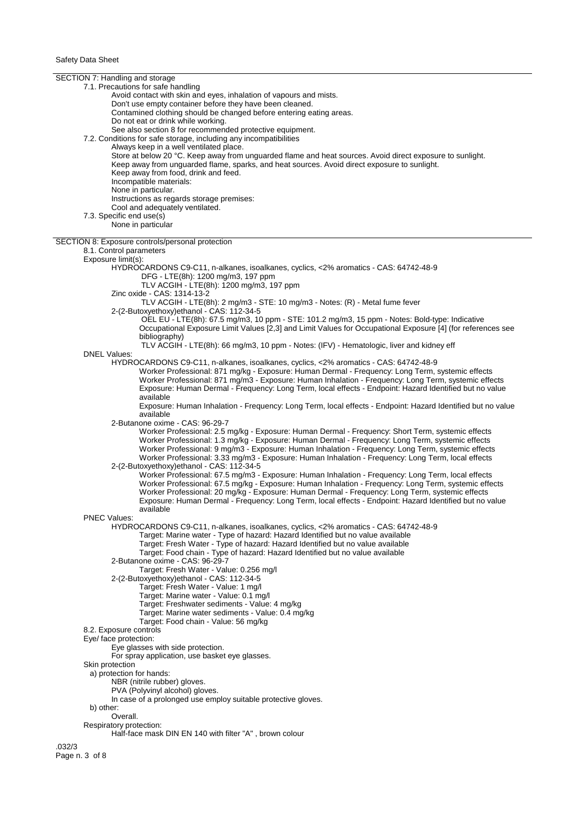SECTION 7: Handling and storage 7.1. Precautions for safe handling Avoid contact with skin and eyes, inhalation of vapours and mists. Don't use empty container before they have been cleaned. Contamined clothing should be changed before entering eating areas. Do not eat or drink while working. See also section 8 for recommended protective equipment. 7.2. Conditions for safe storage, including any incompatibilities Always keep in a well ventilated place. Store at below 20 °C. Keep away from unguarded flame and heat sources. Avoid direct exposure to sunlight. Keep away from unguarded flame, sparks, and heat sources. Avoid direct exposure to sunlight. Keep away from food, drink and feed. Incompatible materials: None in particular. Instructions as regards storage premises: Cool and adequately ventilated. 7.3. Specific end use(s) None in particular SECTION 8: Exposure controls/personal protection 8.1. Control parameters Exposure limit(s): HYDROCARDONS C9-C11, n-alkanes, isoalkanes, cyclics, <2% aromatics - CAS: 64742-48-9 DFG - LTE(8h): 1200 mg/m3, 197 ppm TLV ACGIH - LTE(8h): 1200 mg/m3, 197 ppm Zinc oxide - CAS: 1314-13-2 TLV ACGIH - LTE(8h): 2 mg/m3 - STE: 10 mg/m3 - Notes: (R) - Metal fume fever 2-(2-Butoxyethoxy)ethanol - CAS: 112-34-5 OEL EU-LTE(8h): 67.5 mg/m3, 10 ppm - STE: 101.2 mg/m3, 15 ppm - Notes: Bold-type: Indicative Occupational Exposure Limit Values [2,3] and Limit Values for Occupational Exposure [4] (for references see bibliography) TLV ACGIH - LTE(8h): 66 mg/m3, 10 ppm - Notes: (IFV) - Hematologic, liver and kidney eff DNEL Values: HYDROCARDONS C9-C11, n-alkanes, isoalkanes, cyclics, <2% aromatics - CAS: 64742-48-9 Worker Professional: 871 mg/kg - Exposure: Human Dermal - Frequency: Long Term, systemic effects Worker Professional: 871 mg/m3 - Exposure: Human Inhalation - Frequency: Long Term, systemic effects Exposure: Human Dermal - Frequency: Long Term, local effects - Endpoint: Hazard Identified but no value available Exposure: Human Inhalation - Frequency: Long Term, local effects - Endpoint: Hazard Identified but no value available 2-Butanone oxime - CAS: 96-29-7 Worker Professional: 2.5 mg/kg - Exposure: Human Dermal - Frequency: Short Term, systemic effects Worker Professional: 1.3 mg/kg - Exposure: Human Dermal - Frequency: Long Term, systemic effects Worker Professional: 9 mg/m3 - Exposure: Human Inhalation - Frequency: Long Term, systemic effects Worker Professional: 3.33 mg/m3 - Exposure: Human Inhalation - Frequency: Long Term, local effects 2-(2-Butoxyethoxy)ethanol - CAS: 112-34-5 Worker Professional: 67.5 mg/m3 - Exposure: Human Inhalation - Frequency: Long Term, local effects Worker Professional: 67.5 mg/kg - Exposure: Human Inhalation - Frequency: Long Term, systemic effects Worker Professional: 20 mg/kg - Exposure: Human Dermal - Frequency: Long Term, systemic effects Exposure: Human Dermal - Frequency: Long Term, local effects - Endpoint: Hazard Identified but no value available PNEC Values: HYDROCARDONS C9-C11, n-alkanes, isoalkanes, cyclics, <2% aromatics - CAS: 64742-48-9 Target: Marine water - Type of hazard: Hazard Identified but no value available Target: Fresh Water - Type of hazard: Hazard Identified but no value available Target: Food chain - Type of hazard: Hazard Identified but no value available 2-Butanone oxime - CAS: 96-29-7 Target: Fresh Water - Value: 0.256 mg/l 2-(2-Butoxyethoxy)ethanol - CAS: 112-34-5 Target: Fresh Water - Value: 1 mg/l Target: Marine water - Value: 0.1 mg/l Target: Freshwater sediments - Value: 4 mg/kg Target: Marine water sediments - Value: 0.4 mg/kg Target: Food chain - Value: 56 mg/kg 8.2. Exposure controls Eye/ face protection: Eye glasses with side protection. For spray application, use basket eye glasses. Skin protection a) protection for hands: NBR (nitrile rubber) gloves. PVA (Polyvinyl alcohol) gloves. In case of a prolonged use employ suitable protective gloves. b) other: Overall. Respiratory protection: Half-face mask DIN EN 140 with filter "A" , brown colour .032/3

Page n. 3 of 8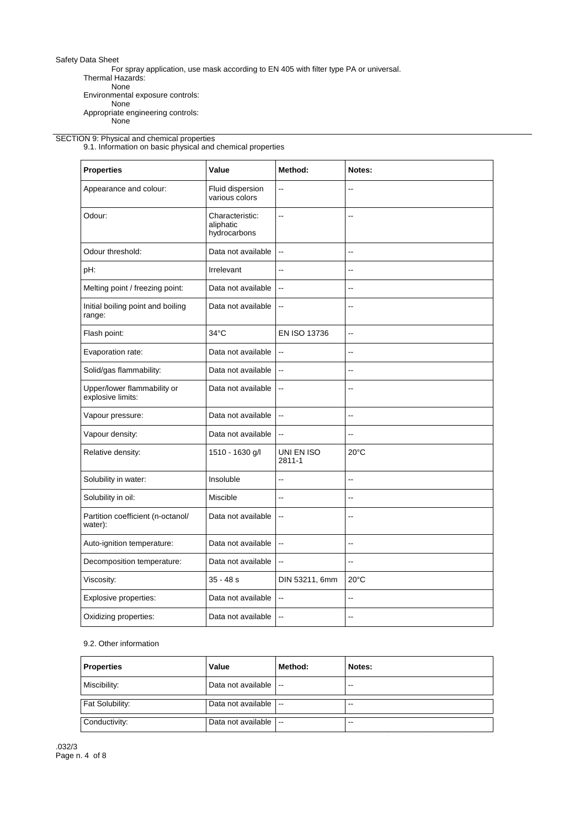For spray application, use mask according to EN 405 with filter type PA or universal.

Thermal Hazards:

None Environmental exposure controls:

None

None

Appropriate engineering controls:

### SECTION 9: Physical and chemical properties

9.1. Information on basic physical and chemical properties

| <b>Properties</b>                                | Value                                        | Method:                  | Notes:         |
|--------------------------------------------------|----------------------------------------------|--------------------------|----------------|
| Appearance and colour:                           | Fluid dispersion<br>various colors           | --                       |                |
| Odour:                                           | Characteristic:<br>aliphatic<br>hydrocarbons | Ξ.                       | ۵.             |
| Odour threshold:                                 | Data not available                           | ă.                       | ۵.             |
| pH:                                              | Irrelevant                                   | $\overline{a}$           |                |
| Melting point / freezing point:                  | Data not available                           | $\overline{a}$           | ۵.             |
| Initial boiling point and boiling<br>range:      | Data not available                           | Ξ.                       | ۵.             |
| Flash point:                                     | $34^{\circ}$ C                               | EN ISO 13736             | --             |
| Evaporation rate:                                | Data not available                           | $\overline{\phantom{a}}$ | ۵.             |
| Solid/gas flammability:                          | Data not available                           | Ξ.                       |                |
| Upper/lower flammability or<br>explosive limits: | Data not available                           | Ξ.                       |                |
| Vapour pressure:                                 | Data not available                           | $\ddotsc$                | $-$            |
| Vapour density:                                  | Data not available                           | $\overline{a}$           | --             |
| Relative density:                                | 1510 - 1630 g/l                              | UNI EN ISO<br>2811-1     | $20^{\circ}$ C |
| Solubility in water:                             | Insoluble                                    | $\overline{a}$           | ۵.             |
| Solubility in oil:                               | Miscible                                     | ۵.                       | ۵.             |
| Partition coefficient (n-octanol/<br>water):     | Data not available                           | $\overline{\phantom{a}}$ | --             |
| Auto-ignition temperature:                       | Data not available                           | ă.                       | --             |
| Decomposition temperature:                       | Data not available                           | $\ddotsc$                | --             |
| Viscosity:                                       | $35 - 48s$                                   | DIN 53211, 6mm           | $20^{\circ}$ C |
| Explosive properties:                            | Data not available                           | Ξ.                       | --             |
| Oxidizing properties:                            | Data not available                           | $\overline{\phantom{a}}$ | --             |

# 9.2. Other information

| Value              | Method:                  | Notes:           |
|--------------------|--------------------------|------------------|
| Data not available | $\overline{\phantom{a}}$ | $-1$             |
| Data not available | $\overline{\phantom{a}}$ | $-1$             |
| Data not available | $\overline{\phantom{a}}$ | $-1$             |
|                    |                          | $\sim$<br>$\sim$ |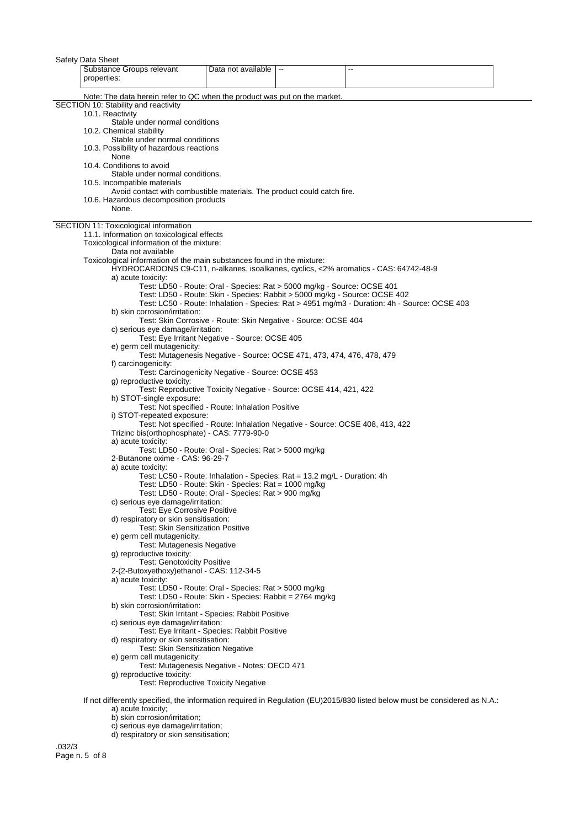| Safety Data Sheet                                                                                       |                                                                               |                                                                                                                            |  |
|---------------------------------------------------------------------------------------------------------|-------------------------------------------------------------------------------|----------------------------------------------------------------------------------------------------------------------------|--|
| Substance Groups relevant<br>properties:                                                                | Data not available   --                                                       | --                                                                                                                         |  |
| Note: The data herein refer to QC when the product was put on the market.                               |                                                                               |                                                                                                                            |  |
| SECTION 10: Stability and reactivity                                                                    |                                                                               |                                                                                                                            |  |
| 10.1. Reactivity                                                                                        |                                                                               |                                                                                                                            |  |
| Stable under normal conditions<br>10.2. Chemical stability                                              |                                                                               |                                                                                                                            |  |
| Stable under normal conditions                                                                          |                                                                               |                                                                                                                            |  |
| 10.3. Possibility of hazardous reactions                                                                |                                                                               |                                                                                                                            |  |
| None                                                                                                    |                                                                               |                                                                                                                            |  |
| 10.4. Conditions to avoid                                                                               |                                                                               |                                                                                                                            |  |
| Stable under normal conditions.                                                                         |                                                                               |                                                                                                                            |  |
| 10.5. Incompatible materials<br>Avoid contact with combustible materials. The product could catch fire. |                                                                               |                                                                                                                            |  |
| 10.6. Hazardous decomposition products                                                                  |                                                                               |                                                                                                                            |  |
| None.                                                                                                   |                                                                               |                                                                                                                            |  |
| SECTION 11: Toxicological information                                                                   |                                                                               |                                                                                                                            |  |
| 11.1. Information on toxicological effects                                                              |                                                                               |                                                                                                                            |  |
| Toxicological information of the mixture:                                                               |                                                                               |                                                                                                                            |  |
| Data not available                                                                                      |                                                                               |                                                                                                                            |  |
| Toxicological information of the main substances found in the mixture:                                  |                                                                               | HYDROCARDONS C9-C11, n-alkanes, isoalkanes, cyclics, <2% aromatics - CAS: 64742-48-9                                       |  |
| a) acute toxicity:                                                                                      |                                                                               |                                                                                                                            |  |
|                                                                                                         | Test: LD50 - Route: Oral - Species: Rat > 5000 mg/kg - Source: OCSE 401       |                                                                                                                            |  |
|                                                                                                         | Test: LD50 - Route: Skin - Species: Rabbit > 5000 mg/kg - Source: OCSE 402    |                                                                                                                            |  |
|                                                                                                         |                                                                               | Test: LC50 - Route: Inhalation - Species: Rat > 4951 mg/m3 - Duration: 4h - Source: OCSE 403                               |  |
| b) skin corrosion/irritation:                                                                           |                                                                               |                                                                                                                            |  |
| c) serious eye damage/irritation:                                                                       | Test: Skin Corrosive - Route: Skin Negative - Source: OCSE 404                |                                                                                                                            |  |
|                                                                                                         | Test: Eye Irritant Negative - Source: OCSE 405                                |                                                                                                                            |  |
| e) germ cell mutagenicity:                                                                              |                                                                               |                                                                                                                            |  |
|                                                                                                         | Test: Mutagenesis Negative - Source: OCSE 471, 473, 474, 476, 478, 479        |                                                                                                                            |  |
| f) carcinogenicity:                                                                                     |                                                                               |                                                                                                                            |  |
|                                                                                                         | Test: Carcinogenicity Negative - Source: OCSE 453                             |                                                                                                                            |  |
| g) reproductive toxicity:                                                                               | Test: Reproductive Toxicity Negative - Source: OCSE 414, 421, 422             |                                                                                                                            |  |
| h) STOT-single exposure:                                                                                |                                                                               |                                                                                                                            |  |
|                                                                                                         | Test: Not specified - Route: Inhalation Positive                              |                                                                                                                            |  |
| i) STOT-repeated exposure:                                                                              |                                                                               |                                                                                                                            |  |
|                                                                                                         | Test: Not specified - Route: Inhalation Negative - Source: OCSE 408, 413, 422 |                                                                                                                            |  |
| Trizinc bis(orthophosphate) - CAS: 7779-90-0<br>a) acute toxicity:                                      |                                                                               |                                                                                                                            |  |
|                                                                                                         | Test: LD50 - Route: Oral - Species: Rat > 5000 mg/kg                          |                                                                                                                            |  |
| 2-Butanone oxime - CAS: 96-29-7                                                                         |                                                                               |                                                                                                                            |  |
| a) acute toxicity:                                                                                      |                                                                               |                                                                                                                            |  |
|                                                                                                         | Test: LC50 - Route: Inhalation - Species: Rat = 13.2 mg/L - Duration: 4h      |                                                                                                                            |  |
|                                                                                                         | Test: LD50 - Route: Skin - Species: Rat = 1000 mg/kg                          |                                                                                                                            |  |
| c) serious eye damage/irritation:                                                                       | Test: LD50 - Route: Oral - Species: Rat > 900 mg/kg                           |                                                                                                                            |  |
| <b>Test: Eye Corrosive Positive</b>                                                                     |                                                                               |                                                                                                                            |  |
| d) respiratory or skin sensitisation:                                                                   |                                                                               |                                                                                                                            |  |
| <b>Test: Skin Sensitization Positive</b>                                                                |                                                                               |                                                                                                                            |  |
| e) germ cell mutagenicity:                                                                              |                                                                               |                                                                                                                            |  |
| Test: Mutagenesis Negative                                                                              |                                                                               |                                                                                                                            |  |
| g) reproductive toxicity:<br><b>Test: Genotoxicity Positive</b>                                         |                                                                               |                                                                                                                            |  |
| 2-(2-Butoxyethoxy)ethanol - CAS: 112-34-5                                                               |                                                                               |                                                                                                                            |  |
| a) acute toxicity:                                                                                      |                                                                               |                                                                                                                            |  |
|                                                                                                         | Test: LD50 - Route: Oral - Species: Rat > 5000 mg/kg                          |                                                                                                                            |  |
|                                                                                                         | Test: LD50 - Route: Skin - Species: Rabbit = 2764 mg/kg                       |                                                                                                                            |  |
| b) skin corrosion/irritation:                                                                           |                                                                               |                                                                                                                            |  |
| c) serious eye damage/irritation:                                                                       | Test: Skin Irritant - Species: Rabbit Positive                                |                                                                                                                            |  |
|                                                                                                         | Test: Eye Irritant - Species: Rabbit Positive                                 |                                                                                                                            |  |
| d) respiratory or skin sensitisation:                                                                   |                                                                               |                                                                                                                            |  |
|                                                                                                         | Test: Skin Sensitization Negative                                             |                                                                                                                            |  |
| e) germ cell mutagenicity:                                                                              |                                                                               |                                                                                                                            |  |
|                                                                                                         | Test: Mutagenesis Negative - Notes: OECD 471                                  |                                                                                                                            |  |
| g) reproductive toxicity:                                                                               | <b>Test: Reproductive Toxicity Negative</b>                                   |                                                                                                                            |  |
|                                                                                                         |                                                                               |                                                                                                                            |  |
|                                                                                                         |                                                                               | If not differently specified, the information required in Regulation (EU)2015/830 listed below must be considered as N.A.: |  |
| a) acute toxicity;<br>h) okin corrogion/irritation:                                                     |                                                                               |                                                                                                                            |  |

- b) skin corrosion/irritation;
- c) serious eye damage/irritation;
- d) respiratory or skin sensitisation;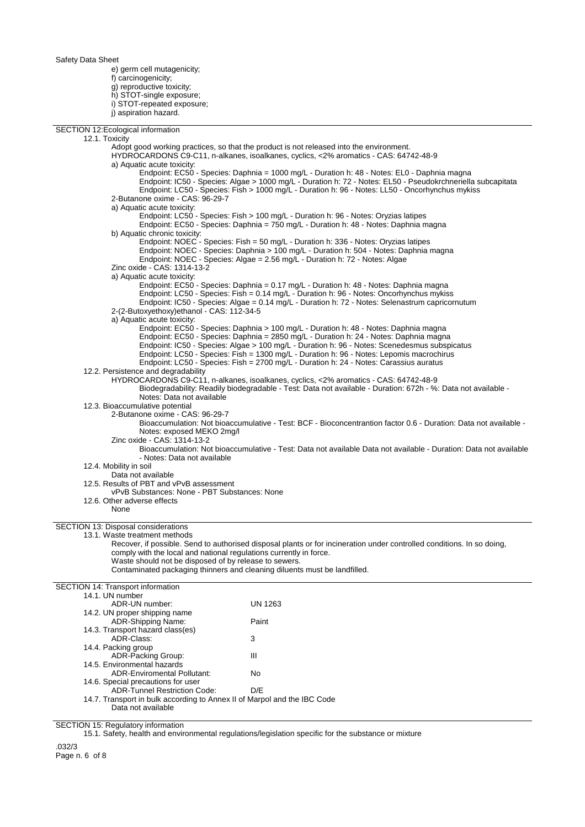e) germ cell mutagenicity; f) carcinogenicity; g) reproductive toxicity; h) STOT-single exposure; i) STOT-repeated exposure; j) aspiration hazard.

SECTION 12:Ecological information 12.1. Toxicity Adopt good working practices, so that the product is not released into the environment. HYDROCARDONS C9-C11, n-alkanes, isoalkanes, cyclics, <2% aromatics - CAS: 64742-48-9 a) Aquatic acute toxicity: Endpoint: EC50 - Species: Daphnia = 1000 mg/L - Duration h: 48 - Notes: EL0 - Daphnia magna Endpoint: IC50 - Species: Algae > 1000 mg/L - Duration h: 72 - Notes: EL50 - Pseudokrchneriella subcapitata Endpoint: LC50 - Species: Fish > 1000 mg/L - Duration h: 96 - Notes: LL50 - Oncorhynchus mykiss 2-Butanone oxime - CAS: 96-29-7 a) Aquatic acute toxicity: Endpoint: LC50 - Species: Fish > 100 mg/L - Duration h: 96 - Notes: Oryzias latipes Endpoint: EC50 - Species: Daphnia = 750 mg/L - Duration h: 48 - Notes: Daphnia magna b) Aquatic chronic toxicity: Endpoint: NOEC - Species: Fish = 50 mg/L - Duration h: 336 - Notes: Oryzias latipes Endpoint: NOEC - Species: Daphnia > 100 mg/L - Duration h: 504 - Notes: Daphnia magna Endpoint: NOEC - Species: Algae = 2.56 mg/L - Duration h: 72 - Notes: Algae Zinc oxide - CAS: 1314-13-2 a) Aquatic acute toxicity: Endpoint: EC50 - Species: Daphnia = 0.17 mg/L - Duration h: 48 - Notes: Daphnia magna Endpoint: LC50 - Species: Fish = 0.14 mg/L - Duration h: 96 - Notes: Oncorhynchus mykiss Endpoint: IC50 - Species: Algae = 0.14 mg/L - Duration h: 72 - Notes: Selenastrum capricornutum 2-(2-Butoxyethoxy)ethanol - CAS: 112-34-5 a) Aquatic acute toxicity: Endpoint: EC50 - Species: Daphnia > 100 mg/L - Duration h: 48 - Notes: Daphnia magna Endpoint: EC50 - Species: Daphnia = 2850 mg/L - Duration h: 24 - Notes: Daphnia magna Endpoint: IC50 - Species: Algae > 100 mg/L - Duration h: 96 - Notes: Scenedesmus subspicatus Endpoint: LC50 - Species: Fish = 1300 mg/L - Duration h: 96 - Notes: Lepomis macrochirus Endpoint: LC50 - Species: Fish = 2700 mg/L - Duration h: 24 - Notes: Carassius auratus 12.2. Persistence and degradability HYDROCARDONS C9-C11, n-alkanes, isoalkanes, cyclics, <2% aromatics - CAS: 64742-48-9 Biodegradability: Readily biodegradable - Test: Data not available - Duration: 672h - %: Data not available - Notes: Data not available 12.3. Bioaccumulative potential 2-Butanone oxime - CAS: 96-29-7 Bioaccumulation: Not bioaccumulative - Test: BCF - Bioconcentrantion factor 0.6 - Duration: Data not available - Notes: exposed MEKO 2mg/l Zinc oxide - CAS: 1314-13-2 Bioaccumulation: Not bioaccumulative - Test: Data not available Data not available - Duration: Data not available - Notes: Data not available 12.4. Mobility in soil Data not available 12.5. Results of PBT and vPvB assessment vPvB Substances: None - PBT Substances: None 12.6. Other adverse effects None SECTION 13: Disposal considerations 13.1. Waste treatment methods Recover, if possible. Send to authorised disposal plants or for incineration under controlled conditions. In so doing, comply with the local and national regulations currently in force. Waste should not be disposed of by release to sewers. Contaminated packaging thinners and cleaning diluents must be landfilled. SECTION 14: Transport information 14.1. UN number ADR-UN number: UN 1263 14.2. UN proper shipping name ADR-Shipping Name: Paint 14.3. Transport hazard class(es) ADR-Class: 3 14.4. Packing group ADR-Packing Group: III 14.5. Environmental hazards ADR-Enviromental Pollutant: No 14.6. Special precautions for user ADR-Tunnel Restriction Code: D/E

14.7. Transport in bulk according to Annex II of Marpol and the IBC Code Data not available

SECTION 15: Regulatory information

15.1. Safety, health and environmental regulations/legislation specific for the substance or mixture

.032/3 Page n. 6 of 8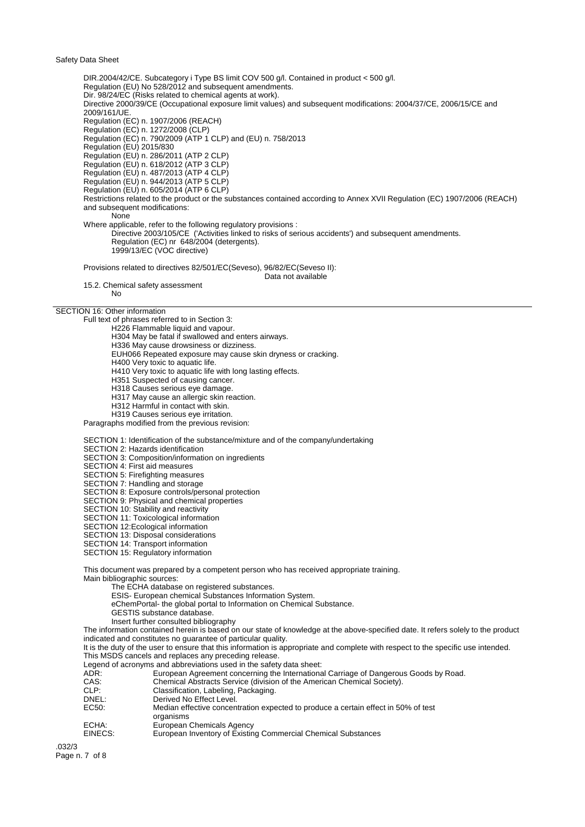DIR.2004/42/CE. Subcategory i Type BS limit COV 500 g/l. Contained in product < 500 g/l. Regulation (EU) No 528/2012 and subsequent amendments. Dir. 98/24/EC (Risks related to chemical agents at work). Directive 2000/39/CE (Occupational exposure limit values) and subsequent modifications: 2004/37/CE, 2006/15/CE and 2009/161/UE. Regulation (EC) n. 1907/2006 (REACH) Regulation (EC) n. 1272/2008 (CLP) Regulation (EC) n. 790/2009 (ATP 1 CLP) and (EU) n. 758/2013 Regulation (EU) 2015/830 Regulation (EU) n. 286/2011 (ATP 2 CLP) Regulation (EU) n. 618/2012 (ATP 3 CLP) Regulation (EU) n. 487/2013 (ATP 4 CLP) Regulation (EU) n. 944/2013 (ATP 5 CLP) Regulation (EU) n. 605/2014 (ATP 6 CLP) Restrictions related to the product or the substances contained according to Annex XVII Regulation (EC) 1907/2006 (REACH) and subsequent modifications: None Where applicable, refer to the following regulatory provisions : Directive 2003/105/CE ('Activities linked to risks of serious accidents') and subsequent amendments. Regulation (EC) nr 648/2004 (detergents). 1999/13/EC (VOC directive) Provisions related to directives 82/501/EC(Seveso), 96/82/EC(Seveso II): Data not available

15.2. Chemical safety assessment No

#### SECTION 16: Other information

Full text of phrases referred to in Section 3:

- H226 Flammable liquid and vapour.
- H304 May be fatal if swallowed and enters airways.

H336 May cause drowsiness or dizziness.

EUH066 Repeated exposure may cause skin dryness or cracking.

H400 Very toxic to aquatic life.

- H410 Very toxic to aquatic life with long lasting effects.
- H351 Suspected of causing cancer.
- H318 Causes serious eye damage.
- H317 May cause an allergic skin reaction.
- H312 Harmful in contact with skin.
- H319 Causes serious eye irritation.

Paragraphs modified from the previous revision:

SECTION 1: Identification of the substance/mixture and of the company/undertaking

SECTION 2: Hazards identification

SECTION 3: Composition/information on ingredients

SECTION 4: First aid measures

SECTION 5: Firefighting measures

SECTION 7: Handling and storage

SECTION 8: Exposure controls/personal protection

SECTION 9: Physical and chemical properties

SECTION 10: Stability and reactivity

SECTION 11: Toxicological information

SECTION 12:Ecological information

SECTION 13: Disposal considerations

SECTION 14: Transport information

SECTION 15: Regulatory information

This document was prepared by a competent person who has received appropriate training. Main bibliographic sources:

The ECHA database on registered substances.

ESIS- European chemical Substances Information System.

eChemPortal- the global portal to Information on Chemical Substance.

- GESTIS substance database.
- Insert further consulted bibliography

The information contained herein is based on our state of knowledge at the above-specified date. It refers solely to the product indicated and constitutes no guarantee of particular quality.

It is the duty of the user to ensure that this information is appropriate and complete with respect to the specific use intended. This MSDS cancels and replaces any preceding release.

Legend of acronyms and abbreviations used in the safety data sheet:

|         | Legend of actomytics and abbieviations used in the safety data sheet.                           |
|---------|-------------------------------------------------------------------------------------------------|
| ADR:    | European Agreement concerning the International Carriage of Dangerous Goods by Road.            |
| CAS:    | Chemical Abstracts Service (division of the American Chemical Society).                         |
| CLP:    | Classification, Labeling, Packaging.                                                            |
| DNEL:   | Derived No Effect Level.                                                                        |
| EC50:   | Median effective concentration expected to produce a certain effect in 50% of test<br>organisms |
| ECHA:   | European Chemicals Agency                                                                       |
| EINECS: | European Inventory of Existing Commercial Chemical Substances                                   |

.032/3 Page n. 7 of 8